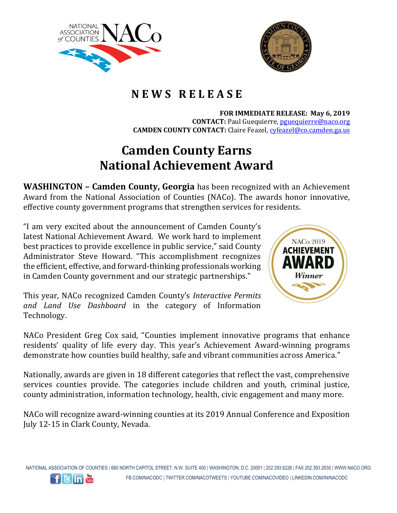



## **N E W S R E L E A S E**

**FOR IMMEDIATE RELEASE: May 6, 2019 CONTACT:** Paul Guequierre, [pguequierre@naco.org](mailto:pguequierre@naco.org)

**CAMDEN COUNTY CONTACT:** Claire Feazel, [cyfeazel@co.camden.ga.us](mailto:cyfeazel@co.camden.ga.us)

## **Camden County Earns National Achievement Award**

**WASHINGTON – Camden County, Georgia** has been recognized with an Achievement Award from the National Association of Counties (NACo). The awards honor innovative, effective county government programs that strengthen services for residents.

"I am very excited about the announcement of Camden County's latest National Achievement Award. We work hard to implement best practices to provide excellence in public service," said County Administrator Steve Howard. "This accomplishment recognizes the efficient, effective, and forward-thinking professionals working in Camden County government and our strategic partnerships."

This year, NACo recognized Camden County's *Interactive Permits and Land Use Dashboard* in the category of Information Technology.



NACo President Greg Cox said, "Counties implement innovative programs that enhance residents' quality of life every day. This year's Achievement Award-winning programs demonstrate how counties build healthy, safe and vibrant communities across America."

Nationally, awards are given in 18 different categories that reflect the vast, comprehensive services counties provide. The categories include children and youth, criminal justice, county administration, information technology, health, civic engagement and many more.

NACo will recognize award-winning counties at its 2019 Annual Conference and Exposition July 12-15 in Clark County, Nevada.